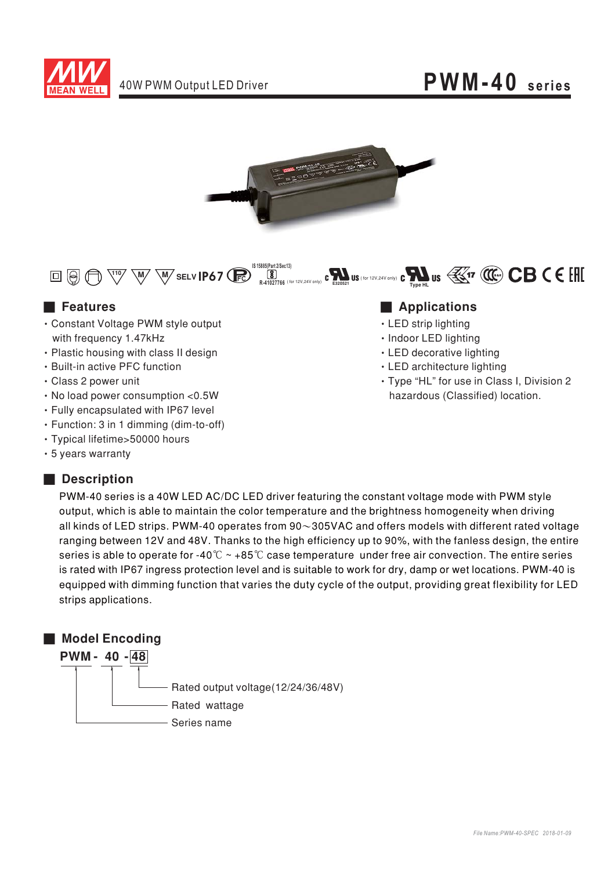





- Constant Voltage PWM style output with frequency 1.47kHz
- Plastic housing with class II design
- Built-in active PFC function
- Class 2 power unit
- No load power consumption <0.5W
- Fully encapsulated with IP67 level
- · Function: 3 in 1 dimming (dim-to-off)
- Typical lifetime>50000 hours
- 5 years warranty

### ■ **Description**

#### ■ Features **■ Particular Execution ■ Particular Execution** and **■ Particular Execution** and **■ Particular Execution** and **Particular Execution** and **Particular Execution** and **Particular Execution** and **Particular Execu**

- LED strip lighting
- · Indoor LED lighting
- LED decorative lighting
- LED architecture lighting
- Type "HL" for use in Class I, Division 2 hazardous (Classified) location.

PWM-40 series is a 40W LED AC/DC LED driver featuring the constant voltage mode with PWM style output, which is able to maintain the color temperature and the brightness homogeneity when driving all kinds of LED strips. PWM-40 operates from 90 $\sim$ 305VAC and offers models with different rated voltage ranging between 12V and 48V. Thanks to the high efficiency up to 90%, with the fanless design, the entire series is able to operate for -40  $^\circ\!{\rm C}\sim$  +85  $^\circ\!{\rm C}$  case temperature <code>under</code> free air convection. The entire series is rated with IP67 ingress protection level and is suitable to work for dry, damp or wet locations. PWM-40 is equipped with dimming function that varies the duty cycle of the output, providing great flexibility for LED strips applications.

### ■ **Model Encoding**  $PWM - 40 - 48$ Rated output voltage(12/24/36/48V) Rated wattage

Series name

*File Name:PWM-40-SPEC 2018-01-09*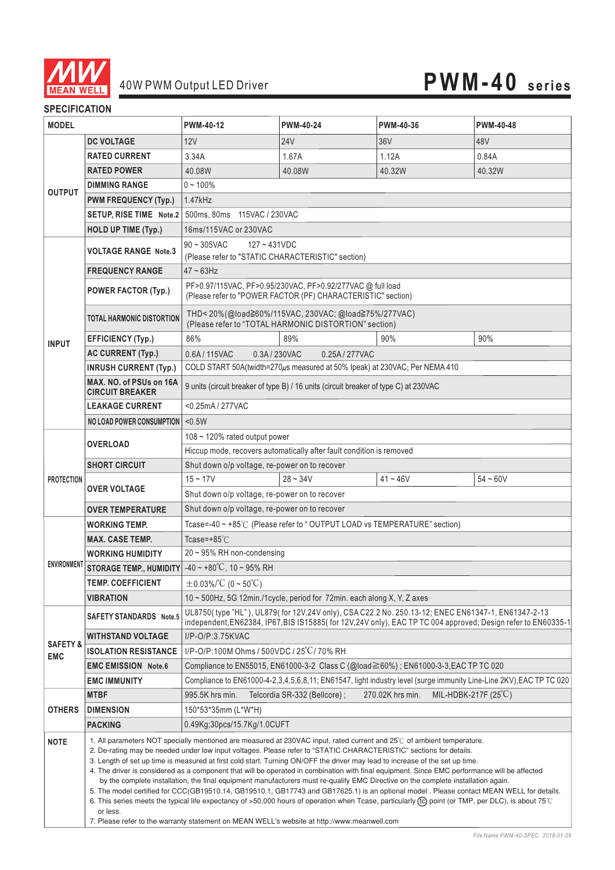

#### **SPECIFICATION**

| <b>MODEL</b>                      |                                                                                                                                                                                                                                                                                                                                                                                                                                                                                                                                                                                                                                                                                                                                                                                                                                                                                                                                                                                                                                                                                  | PWM-40-12                                                                                                                                                                          | <b>PWM-40-24</b>             | PWM-40-36        | <b>PWM-40-48</b> |
|-----------------------------------|----------------------------------------------------------------------------------------------------------------------------------------------------------------------------------------------------------------------------------------------------------------------------------------------------------------------------------------------------------------------------------------------------------------------------------------------------------------------------------------------------------------------------------------------------------------------------------------------------------------------------------------------------------------------------------------------------------------------------------------------------------------------------------------------------------------------------------------------------------------------------------------------------------------------------------------------------------------------------------------------------------------------------------------------------------------------------------|------------------------------------------------------------------------------------------------------------------------------------------------------------------------------------|------------------------------|------------------|------------------|
| <b>OUTPUT</b>                     | <b>DC VOLTAGE</b>                                                                                                                                                                                                                                                                                                                                                                                                                                                                                                                                                                                                                                                                                                                                                                                                                                                                                                                                                                                                                                                                | 12V                                                                                                                                                                                | <b>24V</b>                   | 36V              | 48V              |
|                                   | <b>RATED CURRENT</b>                                                                                                                                                                                                                                                                                                                                                                                                                                                                                                                                                                                                                                                                                                                                                                                                                                                                                                                                                                                                                                                             | 3.34A                                                                                                                                                                              | 1.67A                        | 1.12A            | 0.84A            |
|                                   | <b>RATED POWER</b>                                                                                                                                                                                                                                                                                                                                                                                                                                                                                                                                                                                                                                                                                                                                                                                                                                                                                                                                                                                                                                                               | 40.08W                                                                                                                                                                             | 40.08W                       | 40.32W           | 40.32W           |
|                                   | <b>DIMMING RANGE</b>                                                                                                                                                                                                                                                                                                                                                                                                                                                                                                                                                                                                                                                                                                                                                                                                                                                                                                                                                                                                                                                             | $0 - 100\%$                                                                                                                                                                        |                              |                  |                  |
|                                   | <b>PWM FREQUENCY (Typ.)</b>                                                                                                                                                                                                                                                                                                                                                                                                                                                                                                                                                                                                                                                                                                                                                                                                                                                                                                                                                                                                                                                      | 1.47kHz                                                                                                                                                                            |                              |                  |                  |
|                                   | SETUP, RISE TIME Note.2                                                                                                                                                                                                                                                                                                                                                                                                                                                                                                                                                                                                                                                                                                                                                                                                                                                                                                                                                                                                                                                          | 500ms, 80ms  115VAC / 230VAC                                                                                                                                                       |                              |                  |                  |
|                                   | <b>HOLD UP TIME (Typ.)</b>                                                                                                                                                                                                                                                                                                                                                                                                                                                                                                                                                                                                                                                                                                                                                                                                                                                                                                                                                                                                                                                       | 16ms/115VAC or 230VAC                                                                                                                                                              |                              |                  |                  |
|                                   | <b>VOLTAGE RANGE Note.3</b>                                                                                                                                                                                                                                                                                                                                                                                                                                                                                                                                                                                                                                                                                                                                                                                                                                                                                                                                                                                                                                                      | $90 - 305$ VAC<br>$127 - 431VDC$                                                                                                                                                   |                              |                  |                  |
|                                   |                                                                                                                                                                                                                                                                                                                                                                                                                                                                                                                                                                                                                                                                                                                                                                                                                                                                                                                                                                                                                                                                                  | (Please refer to "STATIC CHARACTERISTIC" section)                                                                                                                                  |                              |                  |                  |
| <b>INPUT</b>                      | <b>FREQUENCY RANGE</b>                                                                                                                                                                                                                                                                                                                                                                                                                                                                                                                                                                                                                                                                                                                                                                                                                                                                                                                                                                                                                                                           | $47 - 63$ Hz                                                                                                                                                                       |                              |                  |                  |
|                                   | <b>POWER FACTOR (Typ.)</b>                                                                                                                                                                                                                                                                                                                                                                                                                                                                                                                                                                                                                                                                                                                                                                                                                                                                                                                                                                                                                                                       | PF>0.97/115VAC, PF>0.95/230VAC, PF>0.92/277VAC @ full load<br>(Please refer to "POWER FACTOR (PF) CHARACTERISTIC" section)                                                         |                              |                  |                  |
|                                   | <b>TOTAL HARMONIC DISTORTION</b>                                                                                                                                                                                                                                                                                                                                                                                                                                                                                                                                                                                                                                                                                                                                                                                                                                                                                                                                                                                                                                                 | THD<20%(@load≧60%/115VAC, 230VAC; @load≧75%/277VAC)<br>(Please refer to "TOTAL HARMONIC DISTORTION" section)                                                                       |                              |                  |                  |
|                                   | <b>EFFICIENCY (Typ.)</b>                                                                                                                                                                                                                                                                                                                                                                                                                                                                                                                                                                                                                                                                                                                                                                                                                                                                                                                                                                                                                                                         | 86%                                                                                                                                                                                | 89%                          | 90%              | 90%              |
|                                   | <b>AC CURRENT (Typ.)</b>                                                                                                                                                                                                                                                                                                                                                                                                                                                                                                                                                                                                                                                                                                                                                                                                                                                                                                                                                                                                                                                         | 0.3A/230VAC<br>0.6A/115VAC<br>0.25A/277VAC                                                                                                                                         |                              |                  |                  |
|                                   | <b>INRUSH CURRENT (Typ.)</b>                                                                                                                                                                                                                                                                                                                                                                                                                                                                                                                                                                                                                                                                                                                                                                                                                                                                                                                                                                                                                                                     | COLD START 50A(twidth=270µs measured at 50% Ipeak) at 230VAC; Per NEMA 410                                                                                                         |                              |                  |                  |
|                                   | MAX. NO. of PSUs on 16A<br><b>CIRCUIT BREAKER</b>                                                                                                                                                                                                                                                                                                                                                                                                                                                                                                                                                                                                                                                                                                                                                                                                                                                                                                                                                                                                                                | 9 units (circuit breaker of type B) / 16 units (circuit breaker of type C) at 230VAC                                                                                               |                              |                  |                  |
|                                   | <b>LEAKAGE CURRENT</b>                                                                                                                                                                                                                                                                                                                                                                                                                                                                                                                                                                                                                                                                                                                                                                                                                                                                                                                                                                                                                                                           | <0.25mA / 277VAC                                                                                                                                                                   |                              |                  |                  |
|                                   | <b>NO LOAD POWER CONSUMPTION</b>                                                                                                                                                                                                                                                                                                                                                                                                                                                                                                                                                                                                                                                                                                                                                                                                                                                                                                                                                                                                                                                 | < 0.5W                                                                                                                                                                             |                              |                  |                  |
| <b>PROTECTION</b>                 | <b>OVERLOAD</b>                                                                                                                                                                                                                                                                                                                                                                                                                                                                                                                                                                                                                                                                                                                                                                                                                                                                                                                                                                                                                                                                  | 108 ~ 120% rated output power                                                                                                                                                      |                              |                  |                  |
|                                   |                                                                                                                                                                                                                                                                                                                                                                                                                                                                                                                                                                                                                                                                                                                                                                                                                                                                                                                                                                                                                                                                                  | Hiccup mode, recovers automatically after fault condition is removed                                                                                                               |                              |                  |                  |
|                                   | <b>SHORT CIRCUIT</b>                                                                                                                                                                                                                                                                                                                                                                                                                                                                                                                                                                                                                                                                                                                                                                                                                                                                                                                                                                                                                                                             | Shut down o/p voltage, re-power on to recover                                                                                                                                      |                              |                  |                  |
|                                   | <b>OVER VOLTAGE</b>                                                                                                                                                                                                                                                                                                                                                                                                                                                                                                                                                                                                                                                                                                                                                                                                                                                                                                                                                                                                                                                              | $15 - 17V$                                                                                                                                                                         | $28 - 34V$                   | $41 - 46V$       | $54 - 60V$       |
|                                   |                                                                                                                                                                                                                                                                                                                                                                                                                                                                                                                                                                                                                                                                                                                                                                                                                                                                                                                                                                                                                                                                                  | Shut down o/p voltage, re-power on to recover                                                                                                                                      |                              |                  |                  |
|                                   | <b>OVER TEMPERATURE</b>                                                                                                                                                                                                                                                                                                                                                                                                                                                                                                                                                                                                                                                                                                                                                                                                                                                                                                                                                                                                                                                          | Shut down o/p voltage, re-power on to recover                                                                                                                                      |                              |                  |                  |
| <b>ENVIRONMENT</b>                | <b>WORKING TEMP.</b>                                                                                                                                                                                                                                                                                                                                                                                                                                                                                                                                                                                                                                                                                                                                                                                                                                                                                                                                                                                                                                                             | Tcase=-40 ~ +85°C (Please refer to "OUTPUT LOAD vs TEMPERATURE" section)                                                                                                           |                              |                  |                  |
|                                   | <b>MAX. CASE TEMP.</b>                                                                                                                                                                                                                                                                                                                                                                                                                                                                                                                                                                                                                                                                                                                                                                                                                                                                                                                                                                                                                                                           | Tcase=+85 $°C$                                                                                                                                                                     |                              |                  |                  |
|                                   | <b>WORKING HUMIDITY</b>                                                                                                                                                                                                                                                                                                                                                                                                                                                                                                                                                                                                                                                                                                                                                                                                                                                                                                                                                                                                                                                          | 20~95% RH non-condensing                                                                                                                                                           |                              |                  |                  |
|                                   | <b>STORAGE TEMP., HUMIDITY</b>                                                                                                                                                                                                                                                                                                                                                                                                                                                                                                                                                                                                                                                                                                                                                                                                                                                                                                                                                                                                                                                   | $-40 \sim +80^{\circ}$ C, 10 ~ 95% RH                                                                                                                                              |                              |                  |                  |
|                                   | <b>TEMP. COEFFICIENT</b>                                                                                                                                                                                                                                                                                                                                                                                                                                                                                                                                                                                                                                                                                                                                                                                                                                                                                                                                                                                                                                                         | $\pm$ 0.03%/°C (0~50°C)                                                                                                                                                            |                              |                  |                  |
|                                   | <b>VIBRATION</b>                                                                                                                                                                                                                                                                                                                                                                                                                                                                                                                                                                                                                                                                                                                                                                                                                                                                                                                                                                                                                                                                 | 10 $\sim$ 500Hz, 5G 12min./1 cycle, period for 72min. each along X, Y, Z axes<br>UL8750(type "HL"), UL879(for 12V,24V only), CSA C22.2 No. 250.13-12; ENEC EN61347-1, EN61347-2-13 |                              |                  |                  |
| <b>SAFETY &amp;</b><br><b>EMC</b> | <b>SAFETY STANDARDS</b> Note.5                                                                                                                                                                                                                                                                                                                                                                                                                                                                                                                                                                                                                                                                                                                                                                                                                                                                                                                                                                                                                                                   | independent, EN62384, IP67, BIS IS15885(for 12V, 24V only), EAC TP TC 004 approved; Design refer to EN60335-1                                                                      |                              |                  |                  |
|                                   | <b>WITHSTAND VOLTAGE</b>                                                                                                                                                                                                                                                                                                                                                                                                                                                                                                                                                                                                                                                                                                                                                                                                                                                                                                                                                                                                                                                         | I/P-O/P:3.75KVAC                                                                                                                                                                   |                              |                  |                  |
|                                   | <b>ISOLATION RESISTANCE</b>                                                                                                                                                                                                                                                                                                                                                                                                                                                                                                                                                                                                                                                                                                                                                                                                                                                                                                                                                                                                                                                      | I/P-O/P:100M Ohms / 500VDC / 25°C/70% RH                                                                                                                                           |                              |                  |                  |
|                                   | <b>EMC EMISSION Note.6</b>                                                                                                                                                                                                                                                                                                                                                                                                                                                                                                                                                                                                                                                                                                                                                                                                                                                                                                                                                                                                                                                       | Compliance to EN55015, EN61000-3-2 Class C (@load≧60%); EN61000-3-3, EAC TP TC 020                                                                                                 |                              |                  |                  |
|                                   | <b>EMC IMMUNITY</b>                                                                                                                                                                                                                                                                                                                                                                                                                                                                                                                                                                                                                                                                                                                                                                                                                                                                                                                                                                                                                                                              | Compliance to EN61000-4-2,3,4,5,6,8,11; EN61547, light industry level (surge immunity Line-Line 2KV), EAC TP TC 020<br>MIL-HDBK-217F $(25^{\circ}\text{C})$                        |                              |                  |                  |
| <b>OTHERS</b>                     | <b>MTBF</b>                                                                                                                                                                                                                                                                                                                                                                                                                                                                                                                                                                                                                                                                                                                                                                                                                                                                                                                                                                                                                                                                      | 995.5K hrs min.                                                                                                                                                                    | Telcordia SR-332 (Bellcore); | 270.02K hrs min. |                  |
|                                   | <b>DIMENSION</b>                                                                                                                                                                                                                                                                                                                                                                                                                                                                                                                                                                                                                                                                                                                                                                                                                                                                                                                                                                                                                                                                 | 150*53*35mm (L*W*H)                                                                                                                                                                |                              |                  |                  |
|                                   | <b>PACKING</b>                                                                                                                                                                                                                                                                                                                                                                                                                                                                                                                                                                                                                                                                                                                                                                                                                                                                                                                                                                                                                                                                   | 0.49Kg;30pcs/15.7Kg/1.0CUFT                                                                                                                                                        |                              |                  |                  |
| <b>NOTE</b>                       | 1. All parameters NOT specially mentioned are measured at 230VAC input, rated current and 25°C of ambient temperature.<br>2. De-rating may be needed under low input voltages. Please refer to "STATIC CHARACTERISTIC" sections for details.<br>3. Length of set up time is measured at first cold start. Turning ON/OFF the driver may lead to increase of the set up time.<br>4. The driver is considered as a component that will be operated in combination with final equipment. Since EMC performance will be affected<br>by the complete installation, the final equipment manufacturers must re-qualify EMC Directive on the complete installation again.<br>5. The model certified for CCC(GB19510.14, GB19510.1, GB17743 and GB17625.1) is an optional model . Please contact MEAN WELL for details.<br>6. This series meets the typical life expectancy of >50,000 hours of operation when Tcase, particularly (tc) point (or TMP, per DLC), is about 75°C<br>or less.<br>7. Please refer to the warranty statement on MEAN WELL's website at http://www.meanwell.com |                                                                                                                                                                                    |                              |                  |                  |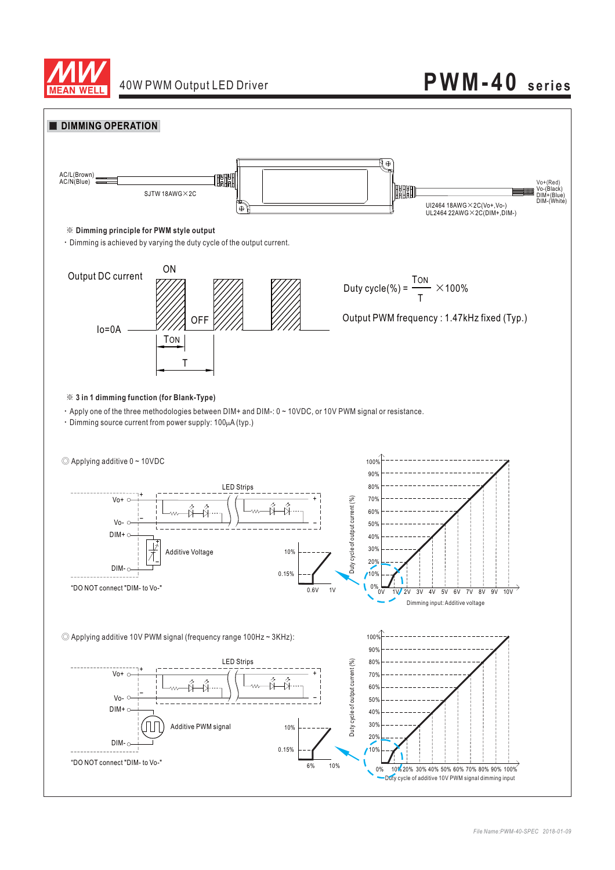

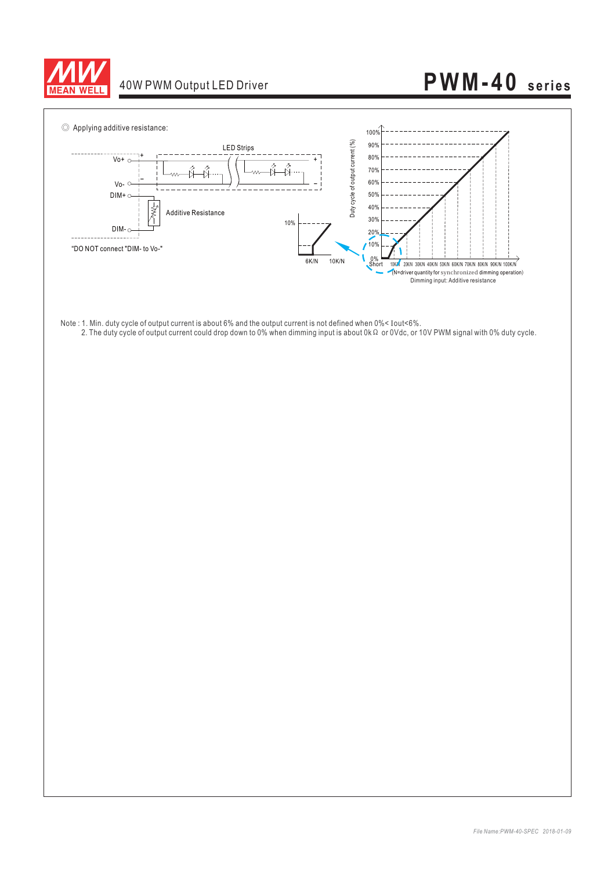



- Note : 1. Min. duty cycle of output current is about 6% and the output current is not defined when 0%< Iout<6%.
	-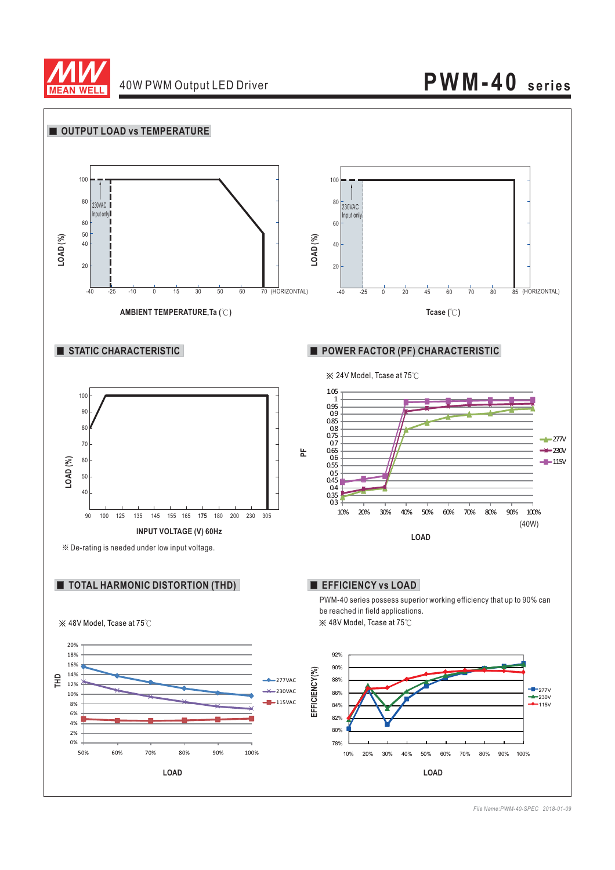

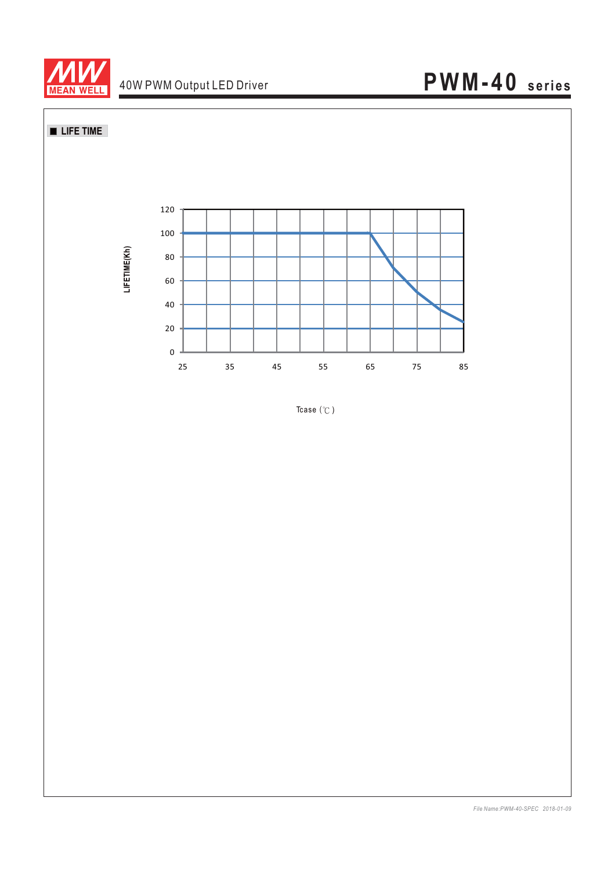

**LIFE TIME** 



Tcase  $(°C)$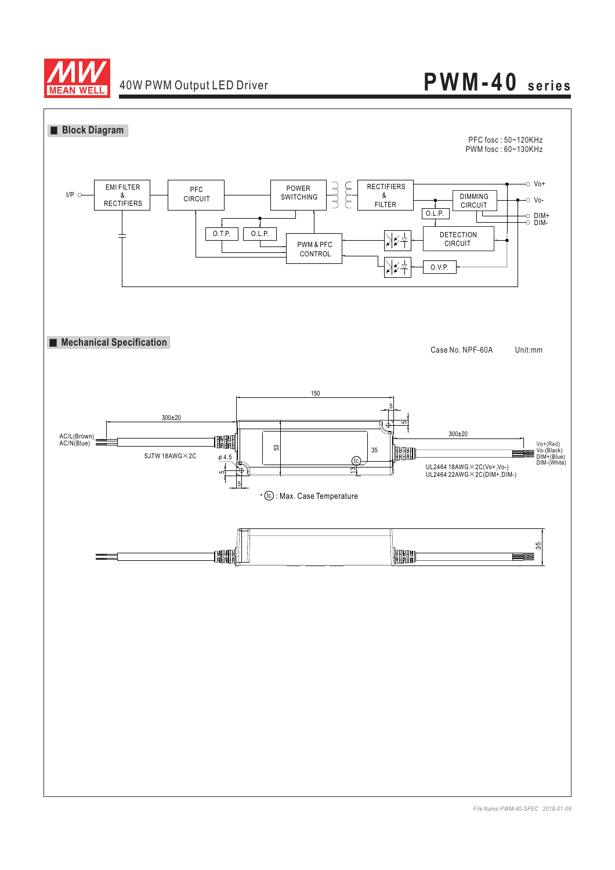